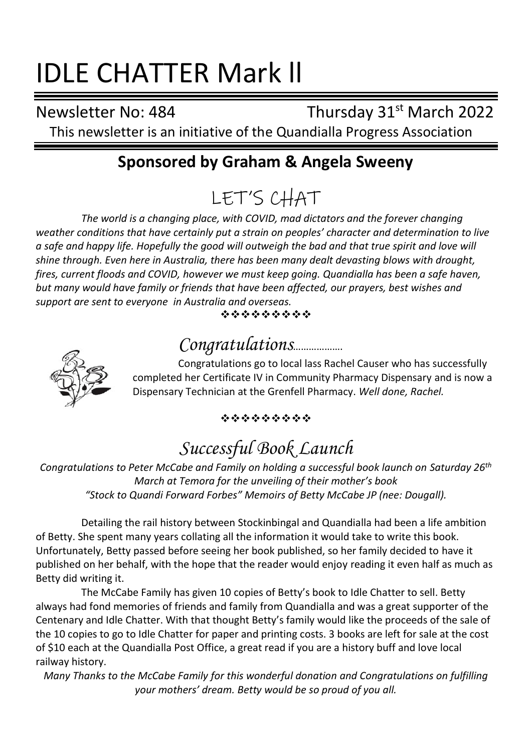# IDLE CHATTER Mark ll

Newsletter No: 484 Thursday 31<sup>st</sup> March 2022

This newsletter is an initiative of the Quandialla Progress Association

## **Sponsored by Graham & Angela Sweeny**

LET'S CHAT

*The world is a changing place, with COVID, mad dictators and the forever changing weather conditions that have certainly put a strain on peoples' character and determination to live a safe and happy life. Hopefully the good will outweigh the bad and that true spirit and love will shine through. Even here in Australia, there has been many dealt devasting blows with drought, fires, current floods and COVID, however we must keep going. Quandialla has been a safe haven, but many would have family or friends that have been affected, our prayers, best wishes and support are sent to everyone in Australia and overseas.*

#### ❖❖❖❖❖❖❖❖❖

## *Congratulations*……………….



Congratulations go to local lass Rachel Causer who has successfully completed her Certificate IV in Community Pharmacy Dispensary and is now a Dispensary Technician at the Grenfell Pharmacy. *Well done, Rachel.*

#### ❖❖❖❖❖❖❖❖❖

## *Successful Book Launch*

*Congratulations to Peter McCabe and Family on holding a successful book launch on Saturday 26th March at Temora for the unveiling of their mother's book "Stock to Quandi Forward Forbes" Memoirs of Betty McCabe JP (nee: Dougall).*

Detailing the rail history between Stockinbingal and Quandialla had been a life ambition of Betty. She spent many years collating all the information it would take to write this book. Unfortunately, Betty passed before seeing her book published, so her family decided to have it published on her behalf, with the hope that the reader would enjoy reading it even half as much as Betty did writing it.

The McCabe Family has given 10 copies of Betty's book to Idle Chatter to sell. Betty always had fond memories of friends and family from Quandialla and was a great supporter of the Centenary and Idle Chatter. With that thought Betty's family would like the proceeds of the sale of the 10 copies to go to Idle Chatter for paper and printing costs. 3 books are left for sale at the cost of \$10 each at the Quandialla Post Office, a great read if you are a history buff and love local railway history.

*Many Thanks to the McCabe Family for this wonderful donation and Congratulations on fulfilling your mothers' dream. Betty would be so proud of you all.*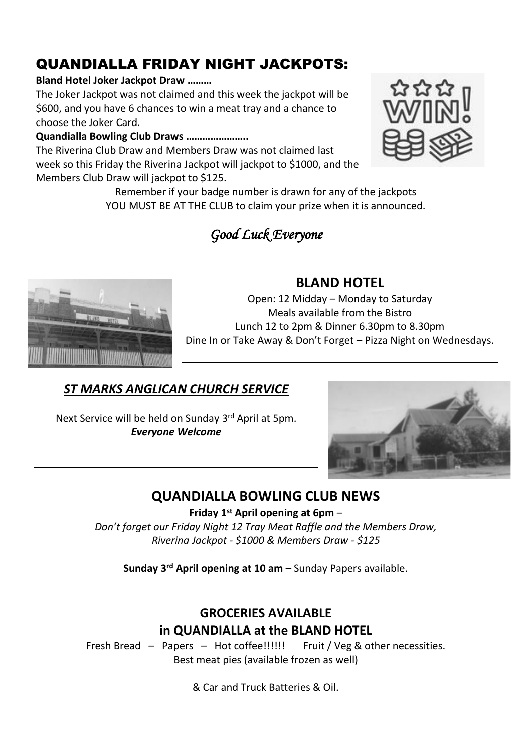## QUANDIALLA FRIDAY NIGHT JACKPOTS:

#### **Bland Hotel Joker Jackpot Draw ………**

The Joker Jackpot was not claimed and this week the jackpot will be \$600, and you have 6 chances to win a meat tray and a chance to choose the Joker Card.

#### **Quandialla Bowling Club Draws …………………..**

The Riverina Club Draw and Members Draw was not claimed last week so this Friday the Riverina Jackpot will jackpot to \$1000, and the Members Club Draw will jackpot to \$125.

> Remember if your badge number is drawn for any of the jackpots YOU MUST BE AT THE CLUB to claim your prize when it is announced.

## *Good Luck Everyone*

#### **BLAND HOTEL**

Open: 12 Midday – Monday to Saturday Meals available from the Bistro Lunch 12 to 2pm & Dinner 6.30pm to 8.30pm Dine In or Take Away & Don't Forget – Pizza Night on Wednesdays.

### *ST MARKS ANGLICAN CHURCH SERVICE*

Next Service will be held on Sunday 3 rd April at 5pm. *Everyone Welcome*

## **QUANDIALLA BOWLING CLUB NEWS**

**Friday 1 st April opening at 6pm** –

*Don't forget our Friday Night 12 Tray Meat Raffle and the Members Draw, Riverina Jackpot - \$1000 & Members Draw - \$125*

**Sunday 3 rd April opening at 10 am –** Sunday Papers available.

#### **GROCERIES AVAILABLE in QUANDIALLA at the BLAND HOTEL**

Fresh Bread – Papers – Hot coffee!!!!!! Fruit / Veg & other necessities. Best meat pies (available frozen as well)

& Car and Truck Batteries & Oil.





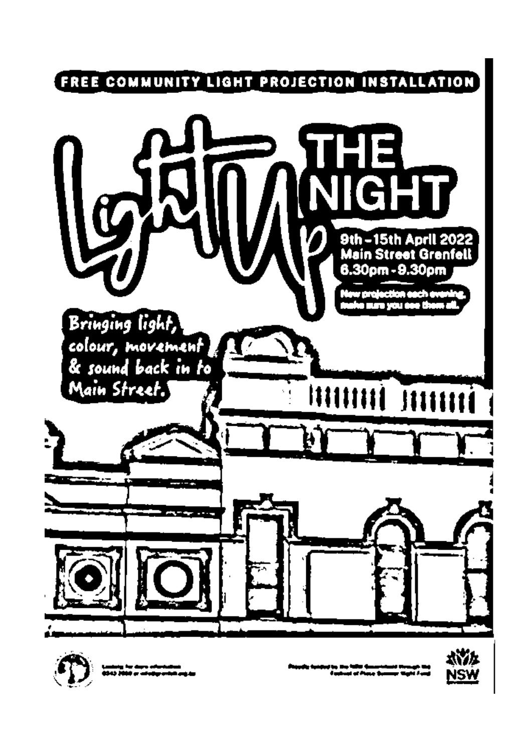



ان دیکھ سال ہونا ہے<br>باب سے ایکرام ڈیمل